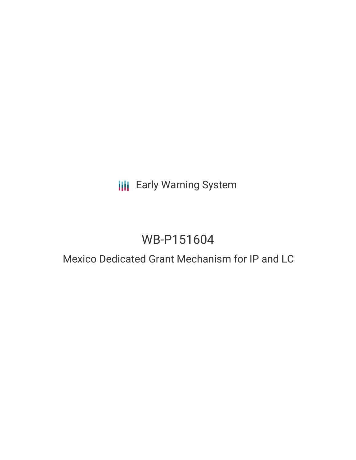## **III** Early Warning System

# WB-P151604

### Mexico Dedicated Grant Mechanism for IP and LC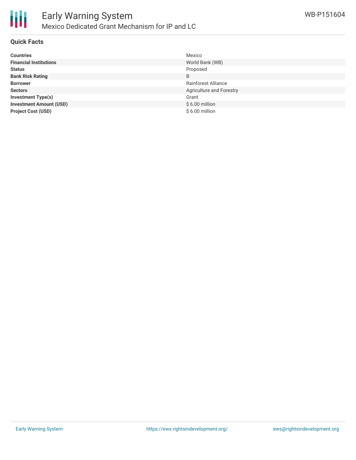

#### **Quick Facts**

| <b>Countries</b>               | Mexico                     |
|--------------------------------|----------------------------|
| <b>Financial Institutions</b>  | World Bank (WB)            |
| <b>Status</b>                  | Proposed                   |
| <b>Bank Risk Rating</b>        | B                          |
| <b>Borrower</b>                | <b>Rainforest Alliance</b> |
| <b>Sectors</b>                 | Agriculture and Forestry   |
| <b>Investment Type(s)</b>      | Grant                      |
| <b>Investment Amount (USD)</b> | $$6.00$ million            |
| <b>Project Cost (USD)</b>      | \$6.00 million             |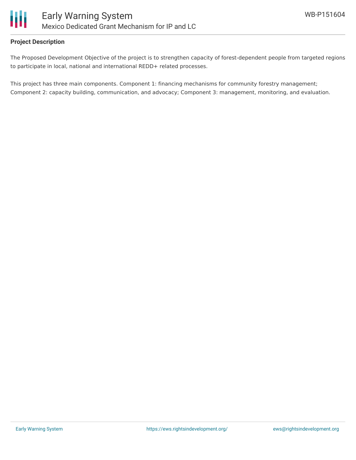

#### **Project Description**

The Proposed Development Objective of the project is to strengthen capacity of forest-dependent people from targeted regions to participate in local, national and international REDD+ related processes.

This project has three main components. Component 1: financing mechanisms for community forestry management; Component 2: capacity building, communication, and advocacy; Component 3: management, monitoring, and evaluation.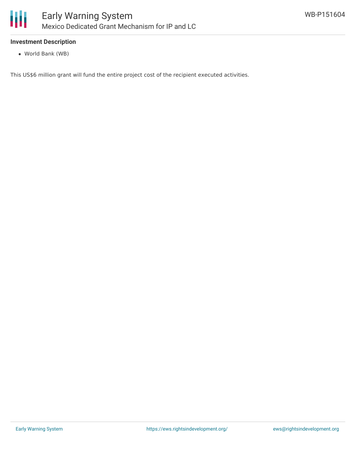

#### **Investment Description**

World Bank (WB)

This US\$6 million grant will fund the entire project cost of the recipient executed activities.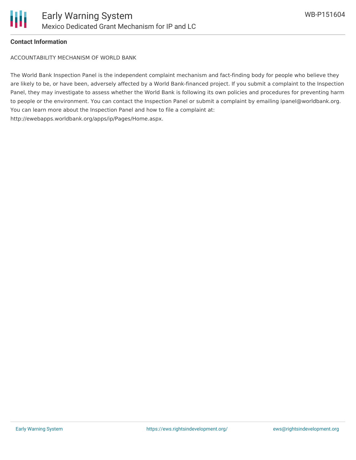

#### **Contact Information**

ACCOUNTABILITY MECHANISM OF WORLD BANK

The World Bank Inspection Panel is the independent complaint mechanism and fact-finding body for people who believe they are likely to be, or have been, adversely affected by a World Bank-financed project. If you submit a complaint to the Inspection Panel, they may investigate to assess whether the World Bank is following its own policies and procedures for preventing harm to people or the environment. You can contact the Inspection Panel or submit a complaint by emailing ipanel@worldbank.org. You can learn more about the Inspection Panel and how to file a complaint at: http://ewebapps.worldbank.org/apps/ip/Pages/Home.aspx.